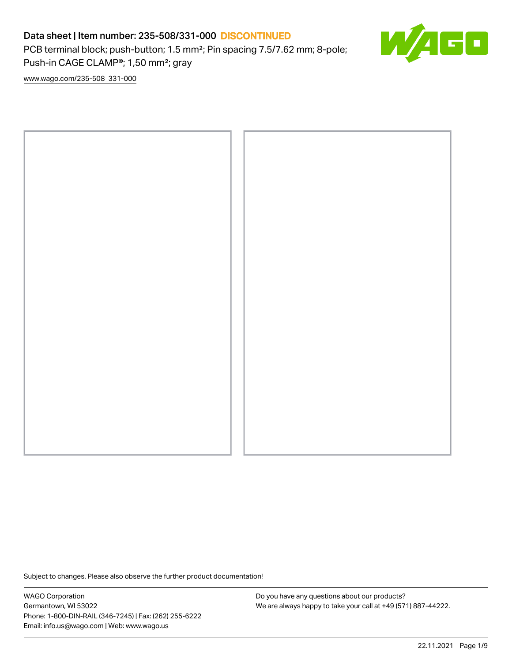PCB terminal block; push-button; 1.5 mm²; Pin spacing 7.5/7.62 mm; 8-pole; Push-in CAGE CLAMP®; 1,50 mm²; gray

50

[www.wago.com/235-508\\_331-000](http://www.wago.com/235-508_331-000)



Subject to changes. Please also observe the further product documentation!

WAGO Corporation Germantown, WI 53022 Phone: 1-800-DIN-RAIL (346-7245) | Fax: (262) 255-6222 Email: info.us@wago.com | Web: www.wago.us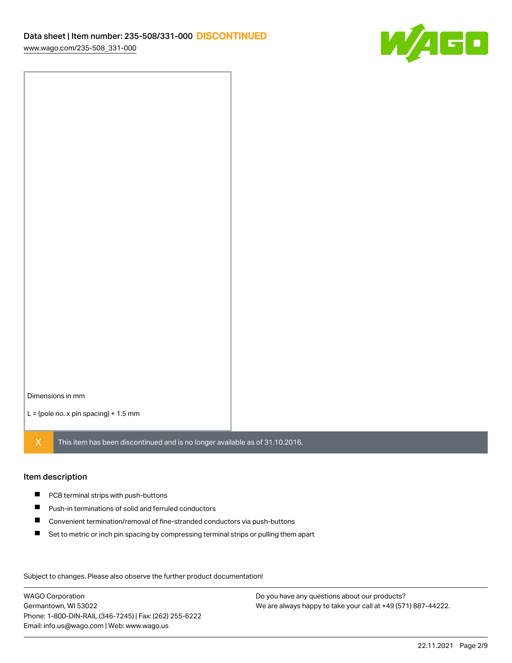

Dimensions in mm

 $L =$  (pole no. x pin spacing) + 1.5 mm

 $X$  This item has been discontinued and is no longer available as of 31.10.2016.

#### Item description

- **PCB terminal strips with push-buttons**
- $\blacksquare$ Push-in terminations of solid and ferruled conductors
- $\blacksquare$ Convenient termination/removal of fine-stranded conductors via push-buttons
- $\blacksquare$ Set to metric or inch pin spacing by compressing terminal strips or pulling them apart

Subject to changes. Please also observe the further product documentation! Data

WAGO Corporation Germantown, WI 53022 Phone: 1-800-DIN-RAIL (346-7245) | Fax: (262) 255-6222 Email: info.us@wago.com | Web: www.wago.us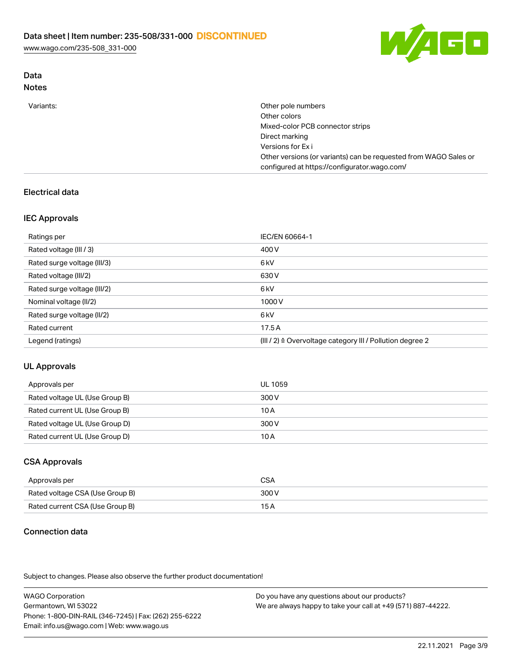[www.wago.com/235-508\\_331-000](http://www.wago.com/235-508_331-000)



# Data

# Notes

| Variants: | Other pole numbers                                               |
|-----------|------------------------------------------------------------------|
|           | Other colors                                                     |
|           | Mixed-color PCB connector strips                                 |
|           | Direct marking                                                   |
|           | Versions for Exi                                                 |
|           | Other versions (or variants) can be requested from WAGO Sales or |
|           | configured at https://configurator.wago.com/                     |

# Electrical data

# IEC Approvals

| Ratings per                 | IEC/EN 60664-1                                            |
|-----------------------------|-----------------------------------------------------------|
| Rated voltage (III / 3)     | 400 V                                                     |
| Rated surge voltage (III/3) | 6 <sub>kV</sub>                                           |
| Rated voltage (III/2)       | 630 V                                                     |
| Rated surge voltage (III/2) | 6 <sub>kV</sub>                                           |
| Nominal voltage (II/2)      | 1000V                                                     |
| Rated surge voltage (II/2)  | 6 <sub>kV</sub>                                           |
| Rated current               | 17.5A                                                     |
| Legend (ratings)            | (III / 2) ≙ Overvoltage category III / Pollution degree 2 |

### UL Approvals

| Approvals per                  | UL 1059 |
|--------------------------------|---------|
| Rated voltage UL (Use Group B) | 300 V   |
| Rated current UL (Use Group B) | 10 A    |
| Rated voltage UL (Use Group D) | 300 V   |
| Rated current UL (Use Group D) | 10 A    |

# CSA Approvals

| Approvals per                   | <b>CSA</b> |
|---------------------------------|------------|
| Rated voltage CSA (Use Group B) | 300 V      |
| Rated current CSA (Use Group B) | 15 A       |

### Connection data

Subject to changes. Please also observe the further product documentation!

| <b>WAGO Corporation</b>                                | Do you have any questions about our products?                 |
|--------------------------------------------------------|---------------------------------------------------------------|
| Germantown, WI 53022                                   | We are always happy to take your call at +49 (571) 887-44222. |
| Phone: 1-800-DIN-RAIL (346-7245)   Fax: (262) 255-6222 |                                                               |
| Email: info.us@wago.com   Web: www.wago.us             |                                                               |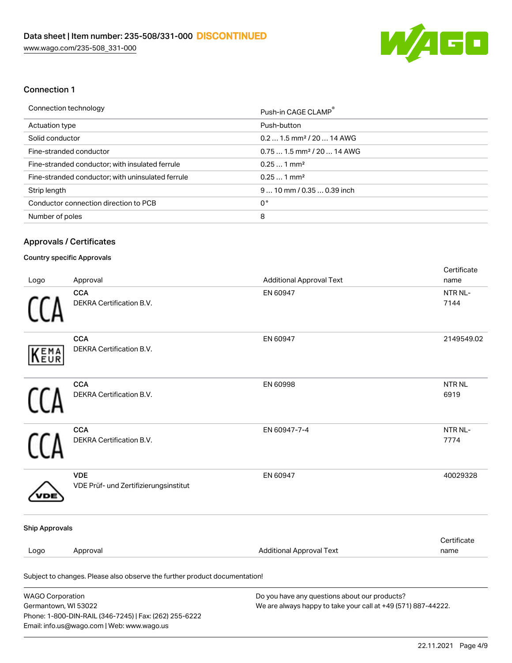

#### Connection 1

| Push-in CAGE CLAMP <sup>®</sup>        |
|----------------------------------------|
| Push-button                            |
| $0.21.5$ mm <sup>2</sup> / 20  14 AWG  |
| $0.751.5$ mm <sup>2</sup> / 20  14 AWG |
| $0.251$ mm <sup>2</sup>                |
| $0.251$ mm <sup>2</sup>                |
| $910$ mm $/0.350.39$ inch              |
| 0°                                     |
| 8                                      |
|                                        |

### Approvals / Certificates

#### Country specific Approvals

Email: info.us@wago.com | Web: www.wago.us

| Logo                    | Approval                                                                       | <b>Additional Approval Text</b>                                                                                | Certificate<br>name       |
|-------------------------|--------------------------------------------------------------------------------|----------------------------------------------------------------------------------------------------------------|---------------------------|
|                         | <b>CCA</b><br>DEKRA Certification B.V.                                         | EN 60947                                                                                                       | NTR NL-<br>7144           |
| EMA<br>EUR              | CCA<br>DEKRA Certification B.V.                                                | EN 60947                                                                                                       | 2149549.02                |
|                         | <b>CCA</b><br>DEKRA Certification B.V.                                         | EN 60998                                                                                                       | NTR <sub>NL</sub><br>6919 |
|                         | <b>CCA</b><br>DEKRA Certification B.V.                                         | EN 60947-7-4                                                                                                   | NTR NL-<br>7774           |
|                         | <b>VDE</b><br>VDE Prüf- und Zertifizierungsinstitut                            | EN 60947                                                                                                       | 40029328                  |
| <b>Ship Approvals</b>   |                                                                                |                                                                                                                |                           |
| Logo                    | Approval                                                                       | <b>Additional Approval Text</b>                                                                                | Certificate<br>name       |
|                         | Subject to changes. Please also observe the further product documentation!     |                                                                                                                |                           |
| <b>WAGO Corporation</b> | Germantown, WI 53022<br>Phone: 1-800-DIN-RAIL (346-7245)   Fax: (262) 255-6222 | Do you have any questions about our products?<br>We are always happy to take your call at +49 (571) 887-44222. |                           |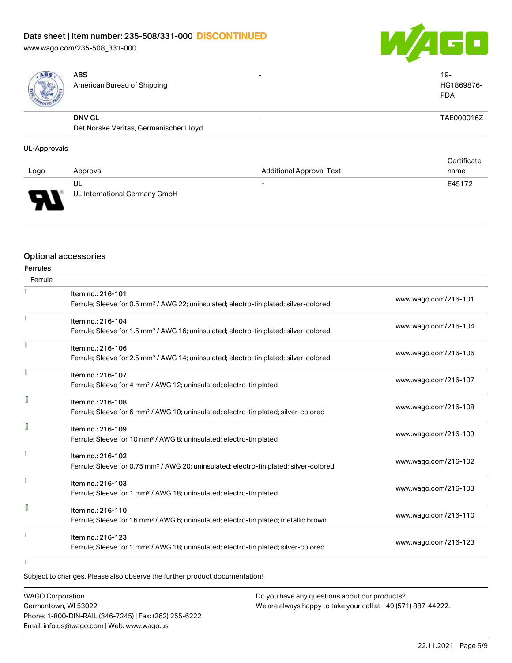[www.wago.com/235-508\\_331-000](http://www.wago.com/235-508_331-000)

ABS





American Bureau of Shipping

#### DNV GL Det Norske Veritas, Germanischer Lloyd - TAE000016Z

#### UL-Approvals

| Logo     | Approval                            | <b>Additional Approval Text</b> | Certificate<br>name |
|----------|-------------------------------------|---------------------------------|---------------------|
| Б<br>. . | UL<br>UL International Germany GmbH | $\overline{\phantom{0}}$        | E45172              |

#### Optional accessories

| <b>Ferrules</b> |                                                                                                    |                      |
|-----------------|----------------------------------------------------------------------------------------------------|----------------------|
| Ferrule         |                                                                                                    |                      |
|                 | Item no.: 216-101                                                                                  |                      |
|                 | Ferrule; Sleeve for 0.5 mm <sup>2</sup> / AWG 22; uninsulated; electro-tin plated; silver-colored  | www.wago.com/216-101 |
|                 | Item no.: 216-104                                                                                  |                      |
|                 | Ferrule; Sleeve for 1.5 mm <sup>2</sup> / AWG 16; uninsulated; electro-tin plated; silver-colored  | www.wago.com/216-104 |
|                 | Item no.: 216-106                                                                                  | www.wago.com/216-106 |
|                 | Ferrule; Sleeve for 2.5 mm <sup>2</sup> / AWG 14; uninsulated; electro-tin plated; silver-colored  |                      |
|                 | Item no.: 216-107                                                                                  | www.wago.com/216-107 |
|                 | Ferrule; Sleeve for 4 mm <sup>2</sup> / AWG 12; uninsulated; electro-tin plated                    |                      |
| ſ               | Item no.: 216-108                                                                                  |                      |
|                 | Ferrule; Sleeve for 6 mm <sup>2</sup> / AWG 10; uninsulated; electro-tin plated; silver-colored    | www.wago.com/216-108 |
| I               | Item no.: 216-109                                                                                  |                      |
|                 | Ferrule; Sleeve for 10 mm <sup>2</sup> / AWG 8; uninsulated; electro-tin plated                    | www.wago.com/216-109 |
|                 | Item no.: 216-102                                                                                  |                      |
|                 | Ferrule; Sleeve for 0.75 mm <sup>2</sup> / AWG 20; uninsulated; electro-tin plated; silver-colored | www.wago.com/216-102 |
|                 | Item no.: 216-103                                                                                  |                      |
|                 | Ferrule; Sleeve for 1 mm <sup>2</sup> / AWG 18; uninsulated; electro-tin plated                    | www.wago.com/216-103 |
| Π               | Item no.: 216-110                                                                                  |                      |
|                 | Ferrule; Sleeve for 16 mm <sup>2</sup> / AWG 6; uninsulated; electro-tin plated; metallic brown    | www.wago.com/216-110 |
|                 | Item no.: 216-123                                                                                  |                      |
|                 | Ferrule; Sleeve for 1 mm <sup>2</sup> / AWG 18; uninsulated; electro-tin plated; silver-colored    | www.wago.com/216-123 |
|                 |                                                                                                    |                      |

Subject to changes. Please also observe the further product documentation!

WAGO Corporation Germantown, WI 53022 Phone: 1-800-DIN-RAIL (346-7245) | Fax: (262) 255-6222 Email: info.us@wago.com | Web: www.wago.us Do you have any questions about our products? We are always happy to take your call at +49 (571) 887-44222.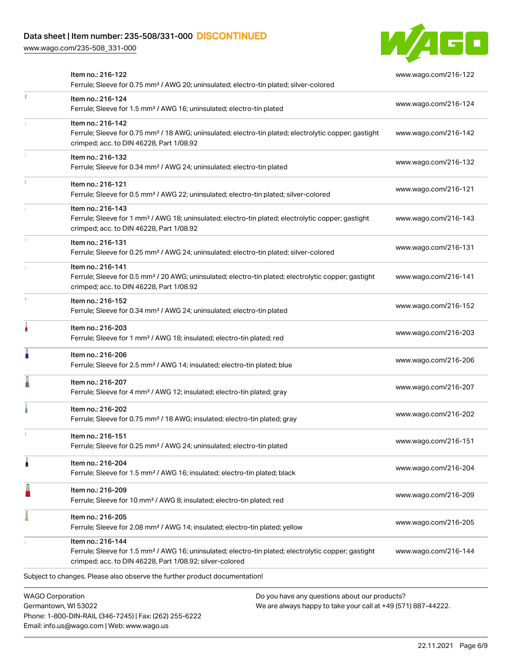[www.wago.com/235-508\\_331-000](http://www.wago.com/235-508_331-000)

Phone: 1-800-DIN-RAIL (346-7245) | Fax: (262) 255-6222

Email: info.us@wago.com | Web: www.wago.us



|   | Item no.: 216-122<br>Ferrule; Sleeve for 0.75 mm <sup>2</sup> / AWG 20; uninsulated; electro-tin plated; silver-colored                                                                           |                                                                                                                | www.wago.com/216-122 |
|---|---------------------------------------------------------------------------------------------------------------------------------------------------------------------------------------------------|----------------------------------------------------------------------------------------------------------------|----------------------|
| B | Item no.: 216-124<br>Ferrule; Sleeve for 1.5 mm <sup>2</sup> / AWG 16; uninsulated; electro-tin plated                                                                                            |                                                                                                                | www.wago.com/216-124 |
|   | Item no.: 216-142<br>Ferrule; Sleeve for 0.75 mm <sup>2</sup> / 18 AWG; uninsulated; electro-tin plated; electrolytic copper; gastight<br>crimped; acc. to DIN 46228, Part 1/08.92                |                                                                                                                | www.wago.com/216-142 |
|   | Item no.: 216-132<br>Ferrule; Sleeve for 0.34 mm <sup>2</sup> / AWG 24; uninsulated; electro-tin plated                                                                                           |                                                                                                                | www.wago.com/216-132 |
|   | Item no.: 216-121<br>Ferrule; Sleeve for 0.5 mm <sup>2</sup> / AWG 22; uninsulated; electro-tin plated; silver-colored                                                                            |                                                                                                                | www.wago.com/216-121 |
|   | Item no.: 216-143<br>Ferrule; Sleeve for 1 mm <sup>2</sup> / AWG 18; uninsulated; electro-tin plated; electrolytic copper; gastight<br>crimped; acc. to DIN 46228, Part 1/08.92                   |                                                                                                                | www.wago.com/216-143 |
|   | Item no.: 216-131<br>Ferrule; Sleeve for 0.25 mm <sup>2</sup> / AWG 24; uninsulated; electro-tin plated; silver-colored                                                                           |                                                                                                                | www.wago.com/216-131 |
|   | Item no.: 216-141<br>Ferrule; Sleeve for 0.5 mm <sup>2</sup> / 20 AWG; uninsulated; electro-tin plated; electrolytic copper; gastight<br>crimped; acc. to DIN 46228, Part 1/08.92                 |                                                                                                                | www.wago.com/216-141 |
|   | Item no.: 216-152<br>Ferrule; Sleeve for 0.34 mm <sup>2</sup> / AWG 24; uninsulated; electro-tin plated                                                                                           |                                                                                                                | www.wago.com/216-152 |
|   | Item no.: 216-203<br>Ferrule; Sleeve for 1 mm <sup>2</sup> / AWG 18; insulated; electro-tin plated; red                                                                                           |                                                                                                                | www.wago.com/216-203 |
|   | Item no.: 216-206<br>Ferrule; Sleeve for 2.5 mm <sup>2</sup> / AWG 14; insulated; electro-tin plated; blue                                                                                        |                                                                                                                | www.wago.com/216-206 |
|   | Item no.: 216-207<br>Ferrule; Sleeve for 4 mm <sup>2</sup> / AWG 12; insulated; electro-tin plated; gray                                                                                          |                                                                                                                | www.wago.com/216-207 |
|   | Item no.: 216-202<br>Ferrule; Sleeve for 0.75 mm <sup>2</sup> / 18 AWG; insulated; electro-tin plated; gray                                                                                       |                                                                                                                | www.wago.com/216-202 |
|   | Item no.: 216-151<br>Ferrule; Sleeve for 0.25 mm <sup>2</sup> / AWG 24; uninsulated; electro-tin plated                                                                                           |                                                                                                                | www.wago.com/216-151 |
|   | Item no.: 216-204<br>Ferrule; Sleeve for 1.5 mm <sup>2</sup> / AWG 16; insulated; electro-tin plated; black                                                                                       |                                                                                                                | www.wago.com/216-204 |
|   | Item no.: 216-209<br>Ferrule; Sleeve for 10 mm <sup>2</sup> / AWG 8; insulated; electro-tin plated; red                                                                                           |                                                                                                                | www.wago.com/216-209 |
|   | Item no.: 216-205<br>Ferrule; Sleeve for 2.08 mm <sup>2</sup> / AWG 14; insulated; electro-tin plated; yellow                                                                                     |                                                                                                                | www.wago.com/216-205 |
|   | Item no.: 216-144<br>Ferrule; Sleeve for 1.5 mm <sup>2</sup> / AWG 16; uninsulated; electro-tin plated; electrolytic copper; gastight<br>crimped; acc. to DIN 46228, Part 1/08.92; silver-colored |                                                                                                                | www.wago.com/216-144 |
|   | Subject to changes. Please also observe the further product documentation!                                                                                                                        |                                                                                                                |                      |
|   | <b>WAGO Corporation</b><br>Germantown, WI 53022                                                                                                                                                   | Do you have any questions about our products?<br>We are always happy to take your call at +49 (571) 887-44222. |                      |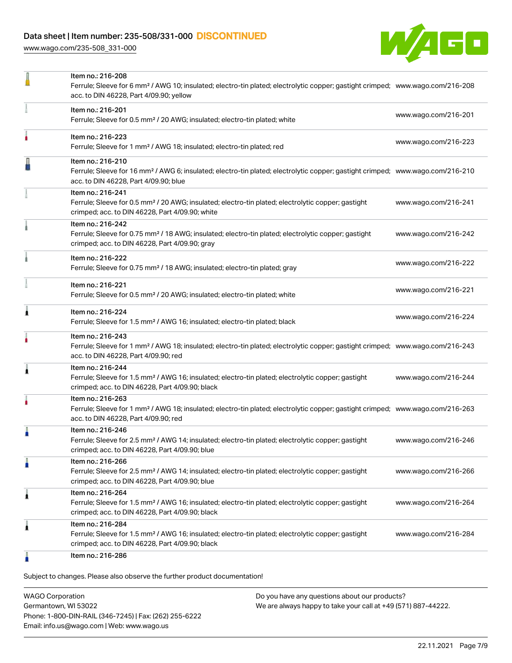[www.wago.com/235-508\\_331-000](http://www.wago.com/235-508_331-000)



|   | Item no.: 216-208<br>Ferrule; Sleeve for 6 mm <sup>2</sup> / AWG 10; insulated; electro-tin plated; electrolytic copper; gastight crimped; www.wago.com/216-208<br>acc. to DIN 46228, Part 4/09.90; yellow |                      |
|---|------------------------------------------------------------------------------------------------------------------------------------------------------------------------------------------------------------|----------------------|
|   | Item no.: 216-201<br>Ferrule; Sleeve for 0.5 mm <sup>2</sup> / 20 AWG; insulated; electro-tin plated; white                                                                                                | www.wago.com/216-201 |
|   | Item no.: 216-223<br>Ferrule; Sleeve for 1 mm <sup>2</sup> / AWG 18; insulated; electro-tin plated; red                                                                                                    | www.wago.com/216-223 |
|   | Item no.: 216-210<br>Ferrule; Sleeve for 16 mm <sup>2</sup> / AWG 6; insulated; electro-tin plated; electrolytic copper; gastight crimped; www.wago.com/216-210<br>acc. to DIN 46228, Part 4/09.90; blue   |                      |
|   | Item no.: 216-241<br>Ferrule; Sleeve for 0.5 mm <sup>2</sup> / 20 AWG; insulated; electro-tin plated; electrolytic copper; gastight<br>crimped; acc. to DIN 46228, Part 4/09.90; white                     | www.wago.com/216-241 |
|   | Item no.: 216-242<br>Ferrule; Sleeve for 0.75 mm <sup>2</sup> / 18 AWG; insulated; electro-tin plated; electrolytic copper; gastight<br>crimped; acc. to DIN 46228, Part 4/09.90; gray                     | www.wago.com/216-242 |
|   | Item no.: 216-222<br>Ferrule; Sleeve for 0.75 mm <sup>2</sup> / 18 AWG; insulated; electro-tin plated; gray                                                                                                | www.wago.com/216-222 |
|   | Item no.: 216-221<br>Ferrule; Sleeve for 0.5 mm <sup>2</sup> / 20 AWG; insulated; electro-tin plated; white                                                                                                | www.wago.com/216-221 |
| Â | Item no.: 216-224<br>Ferrule; Sleeve for 1.5 mm <sup>2</sup> / AWG 16; insulated; electro-tin plated; black                                                                                                | www.wago.com/216-224 |
|   | Item no.: 216-243<br>Ferrule; Sleeve for 1 mm <sup>2</sup> / AWG 18; insulated; electro-tin plated; electrolytic copper; gastight crimped; www.wago.com/216-243<br>acc. to DIN 46228, Part 4/09.90; red    |                      |
|   | Item no.: 216-244<br>Ferrule; Sleeve for 1.5 mm <sup>2</sup> / AWG 16; insulated; electro-tin plated; electrolytic copper; gastight<br>crimped; acc. to DIN 46228, Part 4/09.90; black                     | www.wago.com/216-244 |
|   | Item no.: 216-263<br>Ferrule; Sleeve for 1 mm <sup>2</sup> / AWG 18; insulated; electro-tin plated; electrolytic copper; gastight crimped; www.wago.com/216-263<br>acc. to DIN 46228, Part 4/09.90; red    |                      |
|   | Item no.: 216-246<br>Ferrule; Sleeve for 2.5 mm <sup>2</sup> / AWG 14; insulated; electro-tin plated; electrolytic copper; gastight<br>crimped; acc. to DIN 46228, Part 4/09.90; blue                      | www.wago.com/216-246 |
| Ω | Item no.: 216-266<br>Ferrule; Sleeve for 2.5 mm <sup>2</sup> / AWG 14; insulated; electro-tin plated; electrolytic copper; gastight<br>crimped; acc. to DIN 46228, Part 4/09.90; blue                      | www.wago.com/216-266 |
| Â | Item no.: 216-264<br>Ferrule; Sleeve for 1.5 mm <sup>2</sup> / AWG 16; insulated; electro-tin plated; electrolytic copper; gastight<br>crimped; acc. to DIN 46228, Part 4/09.90; black                     | www.wago.com/216-264 |
| 1 | Item no.: 216-284<br>Ferrule; Sleeve for 1.5 mm <sup>2</sup> / AWG 16; insulated; electro-tin plated; electrolytic copper; gastight<br>crimped; acc. to DIN 46228, Part 4/09.90; black                     | www.wago.com/216-284 |
|   | Item no.: 216-286                                                                                                                                                                                          |                      |

Subject to changes. Please also observe the further product documentation!

WAGO Corporation Germantown, WI 53022 Phone: 1-800-DIN-RAIL (346-7245) | Fax: (262) 255-6222 Email: info.us@wago.com | Web: www.wago.us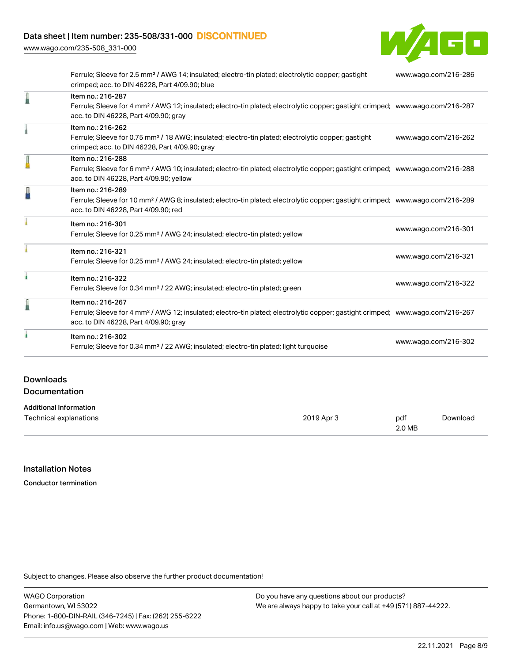[www.wago.com/235-508\\_331-000](http://www.wago.com/235-508_331-000)

Л

I

 $\mathbf{I}$ 

 $\mathbf{I}$ 

 $\mathbf i$ 

T



| Ferrule; Sleeve for 2.5 mm <sup>2</sup> / AWG 14; insulated; electro-tin plated; electrolytic copper; gastight<br>crimped; acc. to DIN 46228, Part 4/09.90; blue                                           | www.wago.com/216-286 |
|------------------------------------------------------------------------------------------------------------------------------------------------------------------------------------------------------------|----------------------|
| Item no.: 216-287<br>Ferrule; Sleeve for 4 mm <sup>2</sup> / AWG 12; insulated; electro-tin plated; electrolytic copper; gastight crimped; www.wago.com/216-287<br>acc. to DIN 46228, Part 4/09.90; gray   |                      |
| Item no.: 216-262<br>Ferrule; Sleeve for 0.75 mm <sup>2</sup> / 18 AWG; insulated; electro-tin plated; electrolytic copper; gastight<br>crimped; acc. to DIN 46228, Part 4/09.90; gray                     | www.wago.com/216-262 |
| Item no.: 216-288<br>Ferrule; Sleeve for 6 mm <sup>2</sup> / AWG 10; insulated; electro-tin plated; electrolytic copper; gastight crimped; www.wago.com/216-288<br>acc. to DIN 46228, Part 4/09.90; yellow |                      |
| Item no.: 216-289<br>Ferrule; Sleeve for 10 mm <sup>2</sup> / AWG 8; insulated; electro-tin plated; electrolytic copper; gastight crimped; www.wago.com/216-289<br>acc. to DIN 46228, Part 4/09.90; red    |                      |
| Item no.: 216-301<br>Ferrule; Sleeve for 0.25 mm <sup>2</sup> / AWG 24; insulated; electro-tin plated; yellow                                                                                              | www.wago.com/216-301 |
| Item no.: 216-321<br>Ferrule; Sleeve for 0.25 mm <sup>2</sup> / AWG 24; insulated; electro-tin plated; yellow                                                                                              | www.wago.com/216-321 |
| Item no.: 216-322<br>Ferrule; Sleeve for 0.34 mm <sup>2</sup> / 22 AWG; insulated; electro-tin plated; green                                                                                               | www.wago.com/216-322 |
| Item no.: 216-267<br>Ferrule; Sleeve for 4 mm <sup>2</sup> / AWG 12; insulated; electro-tin plated; electrolytic copper; gastight crimped; www.wago.com/216-267<br>acc. to DIN 46228, Part 4/09.90; gray   |                      |
| Item no.: 216-302<br>Ferrule; Sleeve for 0.34 mm <sup>2</sup> / 22 AWG; insulated; electro-tin plated; light turquoise                                                                                     | www.wago.com/216-302 |

### Downloads **Documentation**

| <b>Additional Information</b> |            |        |          |
|-------------------------------|------------|--------|----------|
| Technical explanations        | 2019 Apr 3 | pdf    | Download |
|                               |            | 2.0 MB |          |

# Installation Notes

Conductor termination

Subject to changes. Please also observe the further product documentation!

WAGO Corporation Germantown, WI 53022 Phone: 1-800-DIN-RAIL (346-7245) | Fax: (262) 255-6222 Email: info.us@wago.com | Web: www.wago.us